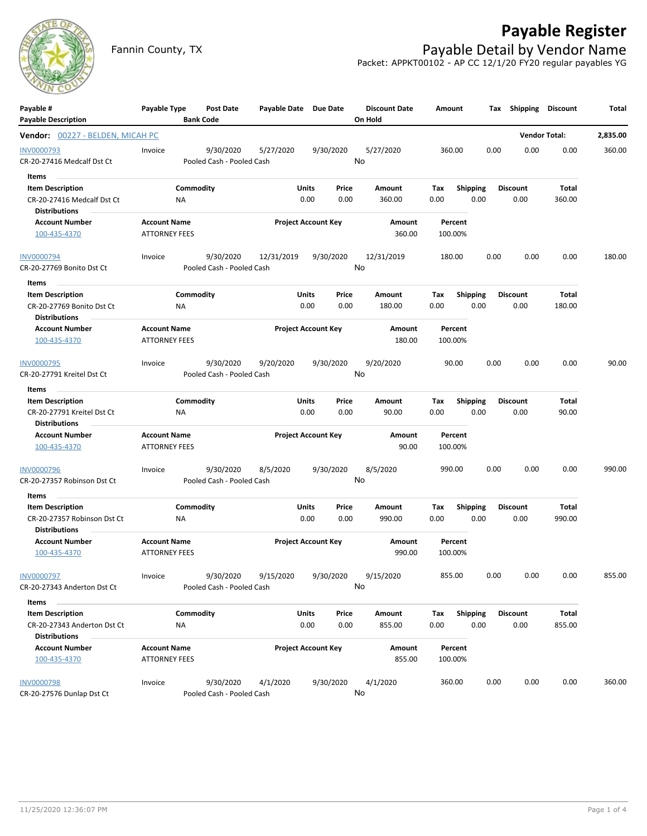

## **Payable Register**

Fannin County, TX **Payable Detail by Vendor Name** Packet: APPKT00102 - AP CC 12/1/20 FY20 regular payables YG

| Payable #                                              | Payable Type                                |                        | <b>Post Date</b>                       | Payable Date Due Date |                            |               | <b>Discount Date</b> | Amount      |                         | Tax             | Shipping | Discount             | Total    |
|--------------------------------------------------------|---------------------------------------------|------------------------|----------------------------------------|-----------------------|----------------------------|---------------|----------------------|-------------|-------------------------|-----------------|----------|----------------------|----------|
| <b>Payable Description</b>                             |                                             | <b>Bank Code</b>       |                                        |                       |                            |               | On Hold              |             |                         |                 |          |                      |          |
| Vendor: 00227 - BELDEN, MICAH PC                       |                                             |                        |                                        |                       |                            |               |                      |             |                         |                 |          | <b>Vendor Total:</b> | 2,835.00 |
| <b>INV0000793</b>                                      | Invoice                                     |                        | 9/30/2020                              | 5/27/2020             |                            | 9/30/2020     | 5/27/2020            |             | 360.00                  | 0.00            | 0.00     | 0.00                 | 360.00   |
| CR-20-27416 Medcalf Dst Ct                             |                                             |                        | Pooled Cash - Pooled Cash              |                       |                            |               | No                   |             |                         |                 |          |                      |          |
| Items                                                  |                                             |                        |                                        |                       |                            |               |                      |             |                         |                 |          |                      |          |
| <b>Item Description</b>                                |                                             | Commodity              |                                        |                       | <b>Units</b>               | Price         | Amount               | Tax         | Shipping                | <b>Discount</b> |          | Total                |          |
| CR-20-27416 Medcalf Dst Ct<br><b>Distributions</b>     |                                             | ΝA                     |                                        |                       | 0.00                       | 0.00          | 360.00               | 0.00        | 0.00                    |                 | 0.00     | 360.00               |          |
| <b>Account Number</b>                                  | <b>Account Name</b>                         |                        |                                        |                       | <b>Project Account Key</b> |               | Amount               |             | Percent                 |                 |          |                      |          |
| 100-435-4370                                           | <b>ATTORNEY FEES</b>                        |                        |                                        |                       |                            |               | 360.00               |             | 100.00%                 |                 |          |                      |          |
| <b>INV0000794</b>                                      | Invoice                                     |                        | 9/30/2020                              | 12/31/2019            |                            | 9/30/2020     | 12/31/2019           |             | 180.00                  | 0.00            | 0.00     | 0.00                 | 180.00   |
| CR-20-27769 Bonito Dst Ct                              |                                             |                        | Pooled Cash - Pooled Cash              |                       |                            |               | No                   |             |                         |                 |          |                      |          |
| Items                                                  |                                             |                        |                                        |                       |                            |               |                      |             |                         |                 |          |                      |          |
| <b>Item Description</b>                                |                                             | Commodity              |                                        |                       | Units                      | Price         | Amount               | Tax         | <b>Shipping</b>         | <b>Discount</b> |          | Total                |          |
| CR-20-27769 Bonito Dst Ct                              |                                             | ΝA                     |                                        |                       | 0.00                       | 0.00          | 180.00               | 0.00        | 0.00                    |                 | 0.00     | 180.00               |          |
| <b>Distributions</b>                                   |                                             |                        |                                        |                       |                            |               |                      |             |                         |                 |          |                      |          |
| <b>Account Number</b><br>100-435-4370                  | <b>Account Name</b><br><b>ATTORNEY FEES</b> |                        |                                        |                       | <b>Project Account Key</b> |               | Amount<br>180.00     |             | Percent<br>100.00%      |                 |          |                      |          |
| <b>INV0000795</b>                                      | Invoice                                     |                        | 9/30/2020                              | 9/20/2020             |                            | 9/30/2020     | 9/20/2020            |             | 90.00                   | 0.00            | 0.00     | 0.00                 | 90.00    |
| CR-20-27791 Kreitel Dst Ct                             |                                             |                        | Pooled Cash - Pooled Cash              |                       |                            |               | No                   |             |                         |                 |          |                      |          |
| Items                                                  |                                             |                        |                                        |                       |                            |               |                      |             |                         |                 |          |                      |          |
| <b>Item Description</b>                                |                                             | Commodity              |                                        |                       | Units                      | Price         | <b>Amount</b>        | Tax         | <b>Shipping</b>         | <b>Discount</b> |          | Total                |          |
| CR-20-27791 Kreitel Dst Ct<br><b>Distributions</b>     |                                             | ΝA                     |                                        |                       | 0.00                       | 0.00          | 90.00                | 0.00        | 0.00                    |                 | 0.00     | 90.00                |          |
| <b>Account Number</b><br>100-435-4370                  | <b>Account Name</b><br><b>ATTORNEY FEES</b> |                        |                                        |                       | <b>Project Account Key</b> |               | Amount<br>90.00      |             | Percent<br>100.00%      |                 |          |                      |          |
| <b>INV0000796</b>                                      | Invoice                                     |                        | 9/30/2020                              | 8/5/2020              |                            | 9/30/2020     | 8/5/2020             |             | 990.00                  | 0.00            | 0.00     | 0.00                 | 990.00   |
| CR-20-27357 Robinson Dst Ct                            |                                             |                        | Pooled Cash - Pooled Cash              |                       |                            |               | No                   |             |                         |                 |          |                      |          |
| Items                                                  |                                             |                        |                                        |                       |                            |               |                      |             |                         |                 |          |                      |          |
| <b>Item Description</b><br>CR-20-27357 Robinson Dst Ct |                                             | Commodity<br><b>NA</b> |                                        |                       | Units<br>0.00              | Price<br>0.00 | Amount<br>990.00     | Tax<br>0.00 | <b>Shipping</b><br>0.00 | <b>Discount</b> | 0.00     | Total<br>990.00      |          |
| Distributions                                          |                                             |                        |                                        |                       |                            |               |                      |             | Percent                 |                 |          |                      |          |
| <b>Account Number</b><br>100-435-4370                  | <b>Account Name</b><br><b>ATTORNEY FEES</b> |                        |                                        |                       | <b>Project Account Key</b> |               | Amount<br>990.00     |             | 100.00%                 |                 |          |                      |          |
| INV0000797                                             | Invoice                                     |                        | 9/30/2020                              | 9/15/2020             |                            | 9/30/2020     | 9/15/2020            |             | 855.00                  | 0.00            | 0.00     | 0.00                 | 855.00   |
| CR-20-27343 Anderton Dst Ct                            |                                             |                        | Pooled Cash - Pooled Cash              |                       |                            |               | No.                  |             |                         |                 |          |                      |          |
| Items                                                  |                                             |                        |                                        |                       |                            |               |                      |             |                         |                 |          |                      |          |
| <b>Item Description</b><br>CR-20-27343 Anderton Dst Ct |                                             | Commodity<br>NA        |                                        |                       | <b>Units</b><br>0.00       | Price<br>0.00 | Amount<br>855.00     | Tax<br>0.00 | <b>Shipping</b><br>0.00 | <b>Discount</b> | 0.00     | Total<br>855.00      |          |
| <b>Distributions</b>                                   |                                             |                        |                                        |                       |                            |               |                      |             |                         |                 |          |                      |          |
| <b>Account Number</b><br>100-435-4370                  | <b>Account Name</b><br><b>ATTORNEY FEES</b> |                        |                                        |                       | <b>Project Account Key</b> |               | Amount<br>855.00     |             | Percent<br>100.00%      |                 |          |                      |          |
| <b>INV0000798</b>                                      | Invoice                                     |                        | 9/30/2020<br>Pooled Cash - Pooled Cash | 4/1/2020              |                            | 9/30/2020     | 4/1/2020<br>No       |             | 360.00                  | 0.00            | 0.00     | 0.00                 | 360.00   |
| CR-20-27576 Dunlap Dst Ct                              |                                             |                        |                                        |                       |                            |               |                      |             |                         |                 |          |                      |          |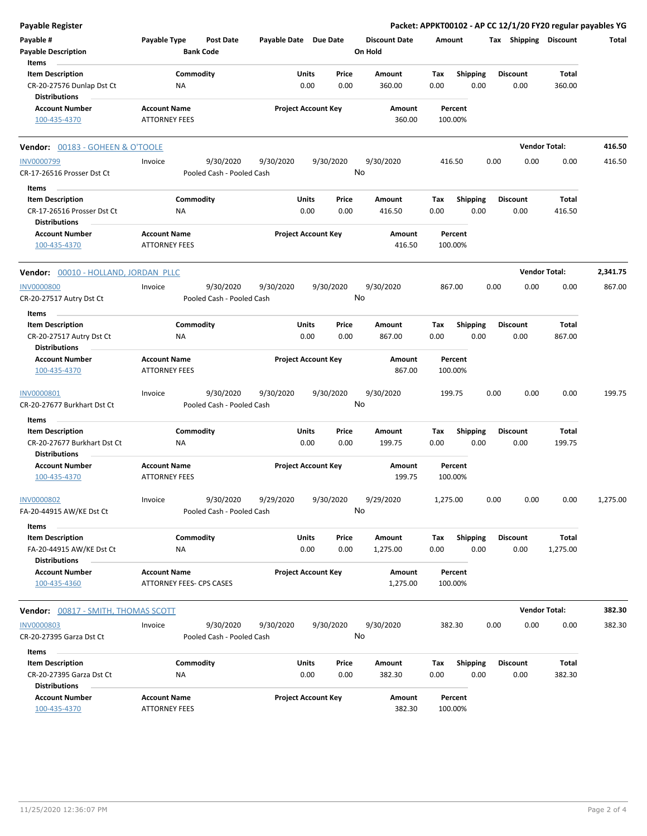| Payable Register                                     |                                             |                                        |                       |                            |                                 |                    |                         | Packet: APPKT00102 - AP CC 12/1/20 FY20 regular payables YG |                      |              |
|------------------------------------------------------|---------------------------------------------|----------------------------------------|-----------------------|----------------------------|---------------------------------|--------------------|-------------------------|-------------------------------------------------------------|----------------------|--------------|
| Payable #<br><b>Payable Description</b>              | Payable Type                                | Post Date<br><b>Bank Code</b>          | Payable Date Due Date |                            | <b>Discount Date</b><br>On Hold | Amount             |                         | Tax Shipping Discount                                       |                      | <b>Total</b> |
| Items                                                |                                             |                                        |                       | Price                      | <b>Amount</b>                   |                    |                         | <b>Discount</b>                                             | <b>Total</b>         |              |
| <b>Item Description</b><br>CR-20-27576 Dunlap Dst Ct | ΝA                                          | Commodity                              |                       | Units<br>0.00<br>0.00      | 360.00                          | Tax<br>0.00        | <b>Shipping</b><br>0.00 | 0.00                                                        | 360.00               |              |
| <b>Distributions</b>                                 |                                             |                                        |                       |                            |                                 |                    |                         |                                                             |                      |              |
| <b>Account Number</b><br>100-435-4370                | <b>Account Name</b><br><b>ATTORNEY FEES</b> |                                        |                       | <b>Project Account Key</b> | Amount<br>360.00                | Percent<br>100.00% |                         |                                                             |                      |              |
| Vendor: 00183 - GOHEEN & O'TOOLE                     |                                             |                                        |                       |                            |                                 |                    |                         |                                                             | <b>Vendor Total:</b> | 416.50       |
| <b>INV0000799</b>                                    | Invoice                                     | 9/30/2020                              | 9/30/2020             | 9/30/2020                  | 9/30/2020                       | 416.50             |                         | 0.00<br>0.00                                                | 0.00                 | 416.50       |
| CR-17-26516 Prosser Dst Ct                           |                                             | Pooled Cash - Pooled Cash              |                       |                            | No                              |                    |                         |                                                             |                      |              |
| Items                                                |                                             |                                        |                       |                            |                                 |                    |                         |                                                             |                      |              |
| <b>Item Description</b>                              |                                             | Commodity                              |                       | Units<br>Price             | Amount                          | Tax                | <b>Shipping</b>         | <b>Discount</b>                                             | Total                |              |
| CR-17-26516 Prosser Dst Ct                           | <b>NA</b>                                   |                                        |                       | 0.00<br>0.00               | 416.50                          | 0.00               | 0.00                    | 0.00                                                        | 416.50               |              |
| <b>Distributions</b>                                 |                                             |                                        |                       |                            |                                 |                    |                         |                                                             |                      |              |
| <b>Account Number</b><br>100-435-4370                | <b>Account Name</b><br><b>ATTORNEY FEES</b> |                                        |                       | <b>Project Account Key</b> | Amount<br>416.50                | Percent<br>100.00% |                         |                                                             |                      |              |
| Vendor: 00010 - HOLLAND, JORDAN PLLC                 |                                             |                                        |                       |                            |                                 |                    |                         |                                                             | <b>Vendor Total:</b> | 2,341.75     |
| <b>INV0000800</b>                                    | Invoice                                     | 9/30/2020                              | 9/30/2020             | 9/30/2020                  | 9/30/2020                       | 867.00             |                         | 0.00<br>0.00                                                | 0.00                 | 867.00       |
| CR-20-27517 Autry Dst Ct                             |                                             | Pooled Cash - Pooled Cash              |                       |                            | No                              |                    |                         |                                                             |                      |              |
| Items                                                |                                             |                                        |                       |                            |                                 |                    |                         |                                                             |                      |              |
| <b>Item Description</b>                              |                                             | Commodity                              |                       | Units<br>Price             | Amount                          | Tax                | <b>Shipping</b>         | <b>Discount</b>                                             | Total                |              |
| CR-20-27517 Autry Dst Ct<br><b>Distributions</b>     | ΝA                                          |                                        |                       | 0.00<br>0.00               | 867.00                          | 0.00               | 0.00                    | 0.00                                                        | 867.00               |              |
| <b>Account Number</b>                                | <b>Account Name</b>                         |                                        |                       | <b>Project Account Key</b> | Amount                          | Percent            |                         |                                                             |                      |              |
| 100-435-4370                                         | <b>ATTORNEY FEES</b>                        |                                        |                       |                            | 867.00                          | 100.00%            |                         |                                                             |                      |              |
| INV0000801<br>CR-20-27677 Burkhart Dst Ct            | Invoice                                     | 9/30/2020<br>Pooled Cash - Pooled Cash | 9/30/2020             | 9/30/2020                  | 9/30/2020<br>No                 | 199.75             |                         | 0.00<br>0.00                                                | 0.00                 | 199.75       |
| Items                                                |                                             |                                        |                       |                            |                                 |                    |                         |                                                             |                      |              |
| <b>Item Description</b>                              |                                             | Commodity                              | <b>Units</b>          | Price                      | Amount                          | Tax                | <b>Shipping</b>         | <b>Discount</b>                                             | Total                |              |
| CR-20-27677 Burkhart Dst Ct<br><b>Distributions</b>  | <b>NA</b>                                   |                                        |                       | 0.00<br>0.00               | 199.75                          | 0.00               | 0.00                    | 0.00                                                        | 199.75               |              |
| <b>Account Number</b>                                | <b>Account Name</b>                         |                                        |                       | <b>Project Account Key</b> | Amount                          | Percent            |                         |                                                             |                      |              |
| 100-435-4370                                         | <b>ATTORNEY FEES</b>                        |                                        |                       |                            | 199.75                          | 100.00%            |                         |                                                             |                      |              |
| <b>INV0000802</b><br>FA-20-44915 AW/KE Dst Ct        | Invoice                                     | 9/30/2020<br>Pooled Cash - Pooled Cash | 9/29/2020             | 9/30/2020                  | 9/29/2020<br>No                 | 1,275.00           |                         | 0.00<br>0.00                                                | 0.00                 | 1,275.00     |
| Items                                                |                                             |                                        |                       |                            |                                 |                    |                         |                                                             |                      |              |
| <b>Item Description</b>                              |                                             | Commodity                              |                       | Units<br>Price             | Amount                          | Tax                | <b>Shipping</b>         | <b>Discount</b>                                             | Total                |              |
| FA-20-44915 AW/KE Dst Ct<br><b>Distributions</b>     | ΝA                                          |                                        |                       | 0.00<br>0.00               | 1,275.00                        | 0.00               | 0.00                    | 0.00                                                        | 1,275.00             |              |
| <b>Account Number</b>                                | <b>Account Name</b>                         |                                        |                       | <b>Project Account Key</b> | Amount                          | Percent            |                         |                                                             |                      |              |
| 100-435-4360                                         | ATTORNEY FEES- CPS CASES                    |                                        |                       |                            | 1,275.00                        | 100.00%            |                         |                                                             |                      |              |
| Vendor: 00817 - SMITH, THOMAS SCOTT                  |                                             |                                        |                       |                            |                                 |                    |                         |                                                             | <b>Vendor Total:</b> | 382.30       |
| <b>INV0000803</b>                                    | Invoice                                     | 9/30/2020                              | 9/30/2020             | 9/30/2020                  | 9/30/2020                       | 382.30             |                         | 0.00<br>0.00                                                | 0.00                 | 382.30       |
| CR-20-27395 Garza Dst Ct                             |                                             | Pooled Cash - Pooled Cash              |                       |                            | No                              |                    |                         |                                                             |                      |              |
| Items                                                |                                             |                                        |                       |                            |                                 |                    |                         |                                                             |                      |              |
| <b>Item Description</b>                              |                                             | Commodity                              |                       | Units<br>Price             | Amount                          | Tax                | <b>Shipping</b>         | <b>Discount</b>                                             | Total                |              |
| CR-20-27395 Garza Dst Ct                             | ΝA                                          |                                        |                       | 0.00<br>0.00               | 382.30                          | 0.00               | 0.00                    | 0.00                                                        | 382.30               |              |
| <b>Distributions</b>                                 |                                             |                                        |                       |                            |                                 |                    |                         |                                                             |                      |              |
| <b>Account Number</b><br>100-435-4370                | <b>Account Name</b><br><b>ATTORNEY FEES</b> |                                        |                       | <b>Project Account Key</b> | Amount<br>382.30                | Percent<br>100.00% |                         |                                                             |                      |              |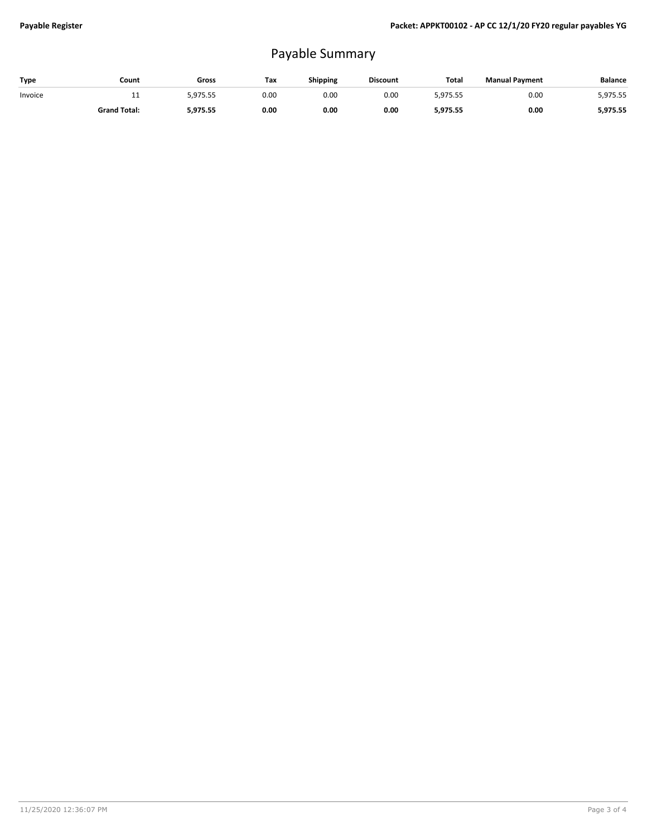## Payable Summary

| Type    | Count               | Gross    | Тах  | Shipping | <b>Discount</b> | Total    | <b>Manual Payment</b> | <b>Balance</b> |
|---------|---------------------|----------|------|----------|-----------------|----------|-----------------------|----------------|
| Invoice |                     | 5.975.55 | 0.00 | 0.00     | 0.00            | 5.975.55 | 0.00                  | 5,975.55       |
|         | <b>Grand Total:</b> | 5,975.55 | 0.00 | 0.00     | 0.00            | 5,975.55 | 0.00                  | 5,975.55       |